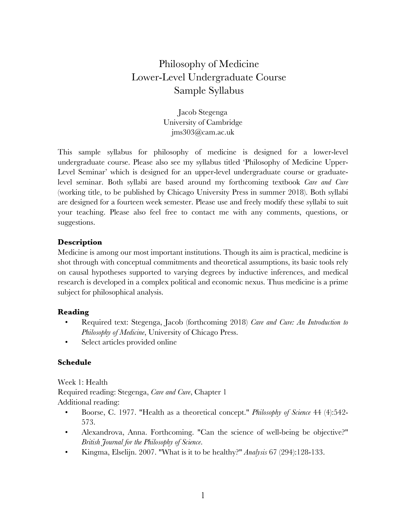# Philosophy of Medicine Lower-Level Undergraduate Course Sample Syllabus

Jacob Stegenga University of Cambridge jms303@cam.ac.uk

This sample syllabus for philosophy of medicine is designed for a lower-level undergraduate course. Please also see my syllabus titled 'Philosophy of Medicine Upper-Level Seminar' which is designed for an upper-level undergraduate course or graduatelevel seminar. Both syllabi are based around my forthcoming textbook *Care and Cure*  (working title, to be published by Chicago University Press in summer 2018). Both syllabi are designed for a fourteen week semester. Please use and freely modify these syllabi to suit your teaching. Please also feel free to contact me with any comments, questions, or suggestions.

# **Description**

Medicine is among our most important institutions. Though its aim is practical, medicine is shot through with conceptual commitments and theoretical assumptions, its basic tools rely on causal hypotheses supported to varying degrees by inductive inferences, and medical research is developed in a complex political and economic nexus. Thus medicine is a prime subject for philosophical analysis.

#### **Reading**

- Required text: Stegenga, Jacob (forthcoming 2018) *Care and Cure: An Introduction to Philosophy of Medicine*, University of Chicago Press.
- Select articles provided online

# **Schedule**

Week 1: Health

Required reading: Stegenga, *Care and Cure*, Chapter 1 Additional reading:

- Boorse, C. 1977. "Health as a theoretical concept." *Philosophy of Science* 44 (4):542- 573.
- Alexandrova, Anna. Forthcoming. "Can the science of well-being be objective?" *British Journal for the Philosophy of Science*.
- Kingma, Elselijn. 2007. "What is it to be healthy?" *Analysis* 67 (294):128-133.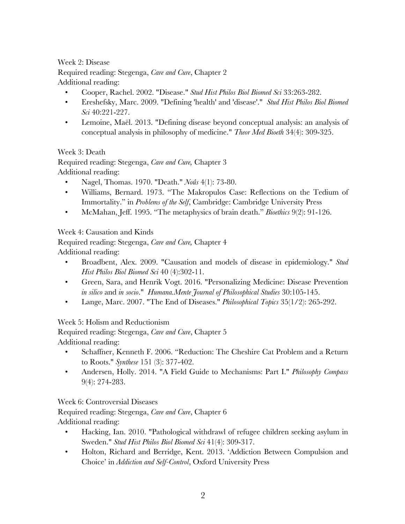# Week 2: Disease

Required reading: Stegenga, *Care and Cure*, Chapter 2 Additional reading:

- Cooper, Rachel. 2002. "Disease." *Stud Hist Philos Biol Biomed Sci* 33:263-282.
- Ereshefsky, Marc. 2009. "Defining 'health' and 'disease'." *Stud Hist Philos Biol Biomed Sci* 40:221-227.
- Lemoine, Maël. 2013. "Defining disease beyond conceptual analysis: an analysis of conceptual analysis in philosophy of medicine." *Theor Med Bioeth* 34(4): 309-325.

# Week 3: Death

Required reading: Stegenga, *Care and Cure,* Chapter 3 Additional reading:

- Nagel, Thomas. 1970. "Death." *Noûs* 4(1): 73-80.
- Williams, Bernard. 1973. "The Makropulos Case: Reflections on the Tedium of Immortality." in *Problems of the Self*, Cambridge: Cambridge University Press
- McMahan, Jeff. 1995. "The metaphysics of brain death." *Bioethics* 9(2): 91-126.

Week 4: Causation and Kinds

Required reading: Stegenga, *Care and Cure,* Chapter 4 Additional reading:

- Broadbent, Alex. 2009. "Causation and models of disease in epidemiology." *Stud Hist Philos Biol Biomed Sci* 40 (4):302-11.
- Green, Sara, and Henrik Vogt. 2016. "Personalizing Medicine: Disease Prevention *in silico* and *in socio*." *Humana.Mente Journal of Philosophical Studies* 30:105-145.
- Lange, Marc. 2007. "The End of Diseases." *Philosophical Topics* 35(1/2): 265-292.

Week 5: Holism and Reductionism

Required reading: Stegenga, *Care and Cure*, Chapter 5 Additional reading:

- Schaffner, Kenneth F. 2006. "Reduction: The Cheshire Cat Problem and a Return to Roots." *Synthese* 151 (3): 377-402.
- Andersen, Holly. 2014. "A Field Guide to Mechanisms: Part I." *Philosophy Compass*  9(4): 274-283.

Week 6: Controversial Diseases

Required reading: Stegenga, *Care and Cure*, Chapter 6 Additional reading:

- Hacking, Ian. 2010. "Pathological withdrawl of refugee children seeking asylum in Sweden." *Stud Hist Philos Biol Biomed Sci* 41(4): 309-317.
- Holton, Richard and Berridge, Kent. 2013. 'Addiction Between Compulsion and Choice' in *Addiction and Self-Control*, Oxford University Press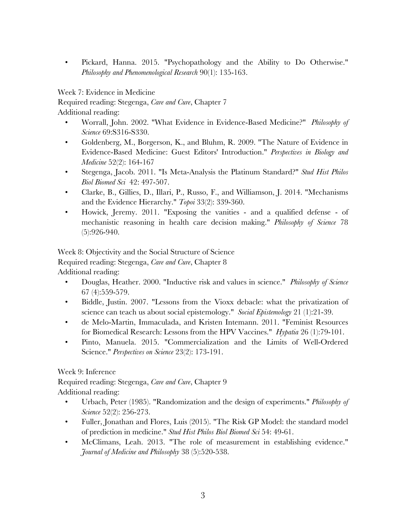• Pickard, Hanna. 2015. "Psychopathology and the Ability to Do Otherwise." *Philosophy and Phenomenological Research* 90(1): 135-163.

Week 7: Evidence in Medicine

Required reading: Stegenga, *Care and Cure*, Chapter 7

Additional reading:

- Worrall, John. 2002. "What Evidence in Evidence-Based Medicine?" *Philosophy of Science* 69:S316-S330.
- Goldenberg, M., Borgerson, K., and Bluhm, R. 2009. "The Nature of Evidence in Evidence-Based Medicine: Guest Editors' Introduction." *Perspectives in Biology and Medicine* 52(2): 164-167
- Stegenga, Jacob. 2011. "Is Meta-Analysis the Platinum Standard?" *Stud Hist Philos Biol Biomed Sci* 42: 497-507.
- Clarke, B., Gillies, D., Illari, P., Russo, F., and Williamson, J. 2014. "Mechanisms and the Evidence Hierarchy." *Topoi* 33(2): 339-360.
- Howick, Jeremy. 2011. "Exposing the vanities and a qualified defense of mechanistic reasoning in health care decision making." *Philosophy of Science* 78 (5):926-940.

Week 8: Objectivity and the Social Structure of Science Required reading: Stegenga, *Care and Cure*, Chapter 8 Additional reading:

- Douglas, Heather. 2000. "Inductive risk and values in science." *Philosophy of Science* 67 (4):559-579.
- Biddle, Justin. 2007. "Lessons from the Vioxx debacle: what the privatization of science can teach us about social epistemology." *Social Epistemology* 21 (1):21-39.
- de Melo-Martin, Immaculada, and Kristen Intemann. 2011. "Feminist Resources for Biomedical Research: Lessons from the HPV Vaccines." *Hypatia* 26 (1):79-101.
- Pinto, Manuela. 2015. "Commercialization and the Limits of Well-Ordered Science." *Perspectives on Science* 23(2): 173-191.

Week 9: Inference

Required reading: Stegenga, *Care and Cure*, Chapter 9 Additional reading:

- Urbach, Peter (1985). "Randomization and the design of experiments." *Philosophy of Science* 52(2): 256-273.
- Fuller, Jonathan and Flores, Luis (2015). "The Risk GP Model: the standard model of prediction in medicine." *Stud Hist Philos Biol Biomed Sci* 54: 49-61.
- McClimans, Leah. 2013. "The role of measurement in establishing evidence." *Journal of Medicine and Philosophy* 38 (5):520-538.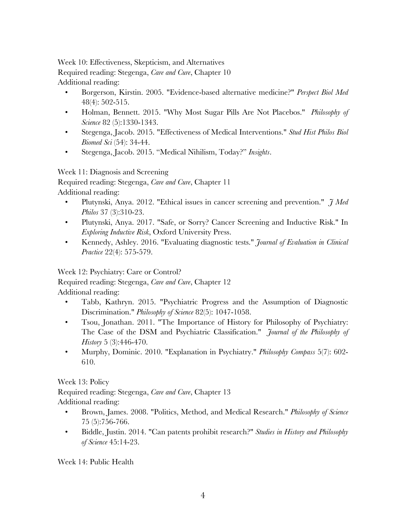Week 10: Effectiveness, Skepticism, and Alternatives Required reading: Stegenga, *Care and Cure*, Chapter 10 Additional reading:

- Borgerson, Kirstin. 2005. "Evidence-based alternative medicine?" *Perspect Biol Med*  48(4): 502-515.
- Holman, Bennett. 2015. "Why Most Sugar Pills Are Not Placebos." *Philosophy of Science* 82 (5):1330-1343.
- Stegenga, Jacob. 2015. "Effectiveness of Medical Interventions." *Stud Hist Philos Biol Biomed Sci* (54): 34-44.
- Stegenga, Jacob. 2015. "Medical Nihilism, Today?" *Insights*.

Week 11: Diagnosis and Screening

Required reading: Stegenga, *Care and Cure*, Chapter 11 Additional reading:

- Plutynski, Anya. 2012. "Ethical issues in cancer screening and prevention." *J Med Philos* 37 (3):310-23.
- Plutynski, Anya. 2017. "Safe, or Sorry? Cancer Screening and Inductive Risk." In *Exploring Inductive Risk*, Oxford University Press.
- Kennedy, Ashley. 2016. "Evaluating diagnostic tests." *Journal of Evaluation in Clinical Practice* 22(4): 575-579.

Week 12: Psychiatry: Care or Control?

Required reading: Stegenga, *Care and Cure*, Chapter 12 Additional reading:

- Tabb, Kathryn. 2015. "Psychiatric Progress and the Assumption of Diagnostic Discrimination." *Philosophy of Science* 82(5): 1047-1058.
- Tsou, Jonathan. 2011. "The Importance of History for Philosophy of Psychiatry: The Case of the DSM and Psychiatric Classification." *Journal of the Philosophy of History* 5 (3):446-470.
- Murphy, Dominic. 2010. "Explanation in Psychiatry." *Philosophy Compass* 5(7): 602- 610.

Week 13: Policy

Required reading: Stegenga, *Care and Cure*, Chapter 13 Additional reading:

- Brown, James. 2008. "Politics, Method, and Medical Research." *Philosophy of Science* 75 (5):756-766.
- Biddle, Justin. 2014. "Can patents prohibit research?" *Studies in History and Philosophy of Science* 45:14-23.

Week 14: Public Health